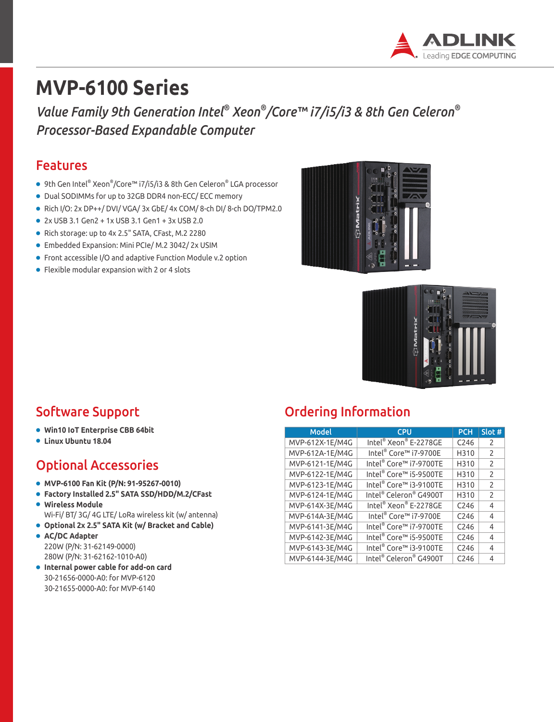

# **MVP-6100 Series**

*Value Family 9th Generation Intel® Xeon® /Core™ i7/i5/i3 & 8th Gen Celeron® Processor-Based Expandable Computer*

#### Features

- 9th Gen Intel® Xeon®/Core™ i7/i5/i3 & 8th Gen Celeron® LGA processor
- Dual SODIMMs for up to 32GB DDR4 non-ECC/ ECC memory
- Rich I/O: 2x DP++/ DVI/ VGA/ 3x GbE/ 4x COM/ 8-ch DI/ 8-ch DO/TPM2.0
- 2x USB 3.1 Gen2 + 1x USB 3.1 Gen1 + 3x USB 2.0
- Rich storage: up to 4x 2.5" SATA, CFast, M.2 2280
- Embedded Expansion: Mini PCIe/ M.2 3042/ 2x USIM
- Front accessible I/O and adaptive Function Module v.2 option
- Flexible modular expansion with 2 or 4 slots





- **Win10 IoT Enterprise CBB 64bit**
- **Linux Ubuntu 18.04**

#### Optional Accessories

- **MVP-6100 Fan Kit (P/N: 91-95267-0010)**
- **Factory Installed 2.5" SATA SSD/HDD/M.2/CFast**  ● **Wireless Module**
- Wi-Fi/ BT/ 3G/ 4G LTE/ LoRa wireless kit (w/ antenna)
- **Optional 2x 2.5" SATA Kit (w/ Bracket and Cable)**
- **AC/DC Adapter** 220W (P/N: 31-62149-0000) 280W (P/N: 31-62162-1010-A0)
- **Internal power cable for add-on card** 30-21656-0000-A0: for MVP-6120 30-21655-0000-A0: for MVP-6140

### Software Support **Support** Ordering Information

| <b>Model</b>    | <b>CPU</b>                        | <b>PCH</b>       | Slot #        |
|-----------------|-----------------------------------|------------------|---------------|
| MVP-612X-1E/M4G | Intel® Xeon® E-2278GE             | C <sub>246</sub> | 2             |
| MVP-612A-1E/M4G | Intel <sup>®</sup> Core™ i7-9700E | H310             | $\mathcal{P}$ |
| MVP-6121-1E/M4G | Intel® Core™ i7-9700TE            | H310             | $\mathcal{P}$ |
| MVP-6122-1E/M4G | Intel® Core™ i5-9500TE            | H310             | $\mathcal{P}$ |
| MVP-6123-1E/M4G | Intel® Core™ i3-9100TE            | H310             | 2             |
| MVP-6124-1E/M4G | Intel® Celeron® G4900T            | H310             | $\mathcal{P}$ |
| MVP-614X-3E/M4G | Intel® Xeon® E-2278GE             | C <sub>246</sub> | 4             |
| MVP-614A-3E/M4G | Intel <sup>®</sup> Core™ i7-9700E | C <sub>246</sub> | 4             |
| MVP-6141-3E/M4G | Intel® Core™ i7-9700TE            | C <sub>246</sub> | 4             |
| MVP-6142-3E/M4G | Intel® Core™ i5-9500TE            | C <sub>246</sub> | 4             |
| MVP-6143-3E/M4G | Intel® Core™ i3-9100TE            | C <sub>246</sub> | 4             |
| MVP-6144-3E/M4G | Intel® Celeron® G4900T            | C <sub>246</sub> | 4             |